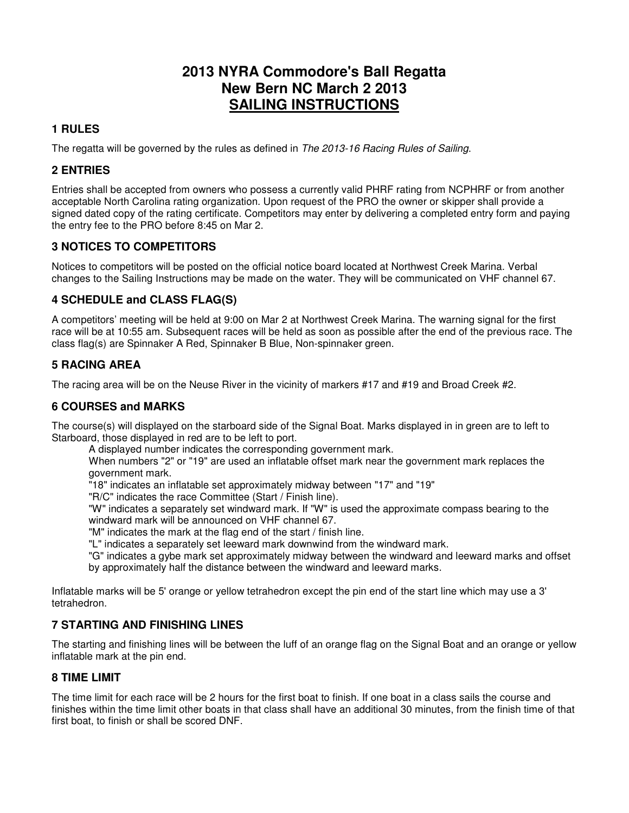# **2013 NYRA Commodore's Ball Regatta New Bern NC March 2 2013 SAILING INSTRUCTIONS**

# **1 RULES**

The regatta will be governed by the rules as defined in The 2013-16 Racing Rules of Sailing.

#### **2 ENTRIES**

Entries shall be accepted from owners who possess a currently valid PHRF rating from NCPHRF or from another acceptable North Carolina rating organization. Upon request of the PRO the owner or skipper shall provide a signed dated copy of the rating certificate. Competitors may enter by delivering a completed entry form and paying the entry fee to the PRO before 8:45 on Mar 2.

# **3 NOTICES TO COMPETITORS**

Notices to competitors will be posted on the official notice board located at Northwest Creek Marina. Verbal changes to the Sailing Instructions may be made on the water. They will be communicated on VHF channel 67.

# **4 SCHEDULE and CLASS FLAG(S)**

A competitors' meeting will be held at 9:00 on Mar 2 at Northwest Creek Marina. The warning signal for the first race will be at 10:55 am. Subsequent races will be held as soon as possible after the end of the previous race. The class flag(s) are Spinnaker A Red, Spinnaker B Blue, Non-spinnaker green.

# **5 RACING AREA**

The racing area will be on the Neuse River in the vicinity of markers #17 and #19 and Broad Creek #2.

# **6 COURSES and MARKS**

The course(s) will displayed on the starboard side of the Signal Boat. Marks displayed in in green are to left to Starboard, those displayed in red are to be left to port.

A displayed number indicates the corresponding government mark.

 When numbers "2" or "19" are used an inflatable offset mark near the government mark replaces the government mark.

"18" indicates an inflatable set approximately midway between "17" and "19"

"R/C" indicates the race Committee (Start / Finish line).

 "W" indicates a separately set windward mark. If "W" is used the approximate compass bearing to the windward mark will be announced on VHF channel 67.

"M" indicates the mark at the flag end of the start / finish line.

"L" indicates a separately set leeward mark downwind from the windward mark.

 "G" indicates a gybe mark set approximately midway between the windward and leeward marks and offset by approximately half the distance between the windward and leeward marks.

Inflatable marks will be 5' orange or yellow tetrahedron except the pin end of the start line which may use a 3' tetrahedron.

#### **7 STARTING AND FINISHING LINES**

The starting and finishing lines will be between the luff of an orange flag on the Signal Boat and an orange or yellow inflatable mark at the pin end.

# **8 TIME LIMIT**

The time limit for each race will be 2 hours for the first boat to finish. If one boat in a class sails the course and finishes within the time limit other boats in that class shall have an additional 30 minutes, from the finish time of that first boat, to finish or shall be scored DNF.